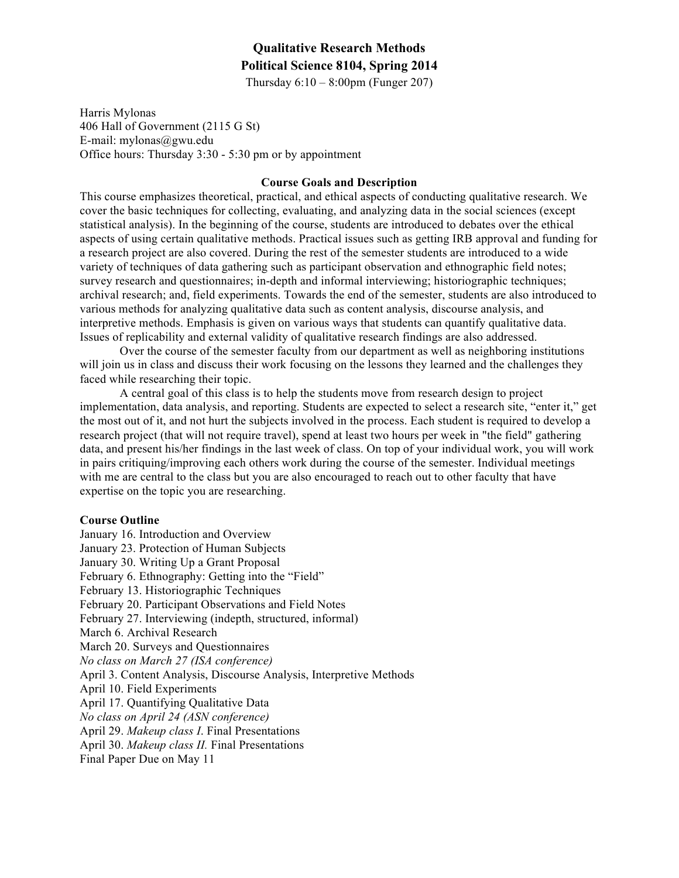## **Qualitative Research Methods Political Science 8104, Spring 2014**

Thursday  $6:10 - 8:00$ pm (Funger 207)

Harris Mylonas 406 Hall of Government (2115 G St) E-mail: mylonas@gwu.edu Office hours: Thursday 3:30 - 5:30 pm or by appointment

## **Course Goals and Description**

This course emphasizes theoretical, practical, and ethical aspects of conducting qualitative research. We cover the basic techniques for collecting, evaluating, and analyzing data in the social sciences (except statistical analysis). In the beginning of the course, students are introduced to debates over the ethical aspects of using certain qualitative methods. Practical issues such as getting IRB approval and funding for a research project are also covered. During the rest of the semester students are introduced to a wide variety of techniques of data gathering such as participant observation and ethnographic field notes; survey research and questionnaires; in-depth and informal interviewing; historiographic techniques; archival research; and, field experiments. Towards the end of the semester, students are also introduced to various methods for analyzing qualitative data such as content analysis, discourse analysis, and interpretive methods. Emphasis is given on various ways that students can quantify qualitative data. Issues of replicability and external validity of qualitative research findings are also addressed.

Over the course of the semester faculty from our department as well as neighboring institutions will join us in class and discuss their work focusing on the lessons they learned and the challenges they faced while researching their topic.

A central goal of this class is to help the students move from research design to project implementation, data analysis, and reporting. Students are expected to select a research site, "enter it," get the most out of it, and not hurt the subjects involved in the process. Each student is required to develop a research project (that will not require travel), spend at least two hours per week in "the field" gathering data, and present his/her findings in the last week of class. On top of your individual work, you will work in pairs critiquing/improving each others work during the course of the semester. Individual meetings with me are central to the class but you are also encouraged to reach out to other faculty that have expertise on the topic you are researching.

#### **Course Outline**

January 16. Introduction and Overview January 23. Protection of Human Subjects January 30. Writing Up a Grant Proposal February 6. Ethnography: Getting into the "Field" February 13. Historiographic Techniques February 20. Participant Observations and Field Notes February 27. Interviewing (indepth, structured, informal) March 6. Archival Research March 20. Surveys and Questionnaires *No class on March 27 (ISA conference)* April 3. Content Analysis, Discourse Analysis, Interpretive Methods April 10. Field Experiments April 17. Quantifying Qualitative Data *No class on April 24 (ASN conference)* April 29. *Makeup class I*. Final Presentations April 30. *Makeup class II.* Final Presentations Final Paper Due on May 11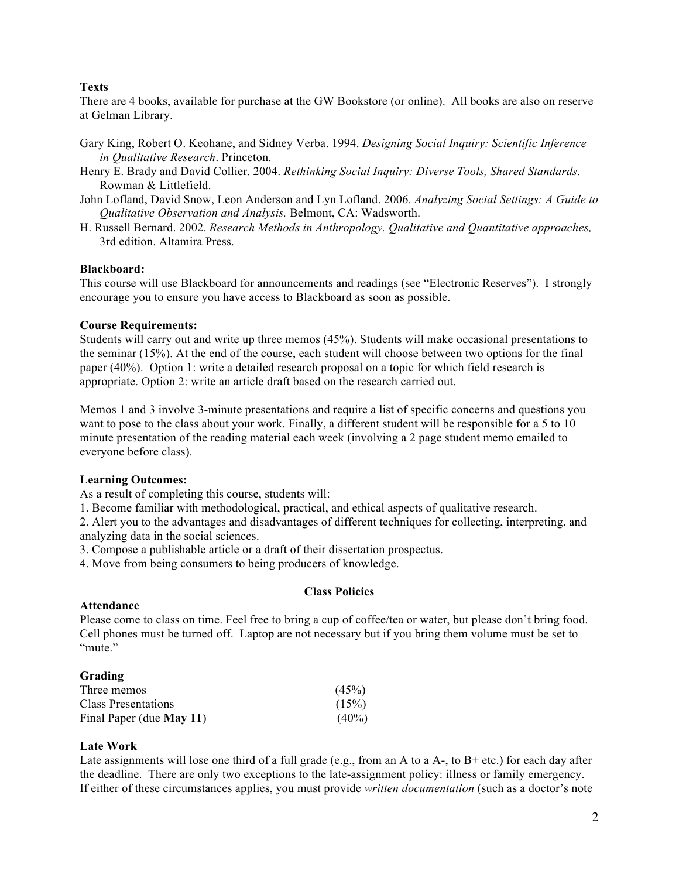## **Texts**

There are 4 books, available for purchase at the GW Bookstore (or online). All books are also on reserve at Gelman Library.

- Gary King, Robert O. Keohane, and Sidney Verba. 1994. *Designing Social Inquiry: Scientific Inference in Qualitative Research*. Princeton.
- Henry E. Brady and David Collier. 2004. *Rethinking Social Inquiry: Diverse Tools, Shared Standards*. Rowman & Littlefield.
- John Lofland, David Snow, Leon Anderson and Lyn Lofland. 2006. *Analyzing Social Settings: A Guide to Qualitative Observation and Analysis.* Belmont, CA: Wadsworth.
- H. Russell Bernard. 2002. *Research Methods in Anthropology. Qualitative and Quantitative approaches,*  3rd edition. Altamira Press.

## **Blackboard:**

This course will use Blackboard for announcements and readings (see "Electronic Reserves"). I strongly encourage you to ensure you have access to Blackboard as soon as possible.

#### **Course Requirements:**

Students will carry out and write up three memos (45%). Students will make occasional presentations to the seminar (15%). At the end of the course, each student will choose between two options for the final paper (40%). Option 1: write a detailed research proposal on a topic for which field research is appropriate. Option 2: write an article draft based on the research carried out.

Memos 1 and 3 involve 3-minute presentations and require a list of specific concerns and questions you want to pose to the class about your work. Finally, a different student will be responsible for a 5 to 10 minute presentation of the reading material each week (involving a 2 page student memo emailed to everyone before class).

#### **Learning Outcomes:**

As a result of completing this course, students will:

1. Become familiar with methodological, practical, and ethical aspects of qualitative research.

2. Alert you to the advantages and disadvantages of different techniques for collecting, interpreting, and analyzing data in the social sciences.

3. Compose a publishable article or a draft of their dissertation prospectus.

4. Move from being consumers to being producers of knowledge.

## **Class Policies**

#### **Attendance**

Please come to class on time. Feel free to bring a cup of coffee/tea or water, but please don't bring food. Cell phones must be turned off. Laptop are not necessary but if you bring them volume must be set to "mute"

| Grading                         |          |
|---------------------------------|----------|
| Three memos                     | (45%)    |
| Class Presentations             | (15%)    |
| Final Paper (due <b>May 11)</b> | $(40\%)$ |

#### **Late Work**

Late assignments will lose one third of a full grade (e.g., from an A to a A-, to  $B$ + etc.) for each day after the deadline. There are only two exceptions to the late-assignment policy: illness or family emergency. If either of these circumstances applies, you must provide *written documentation* (such as a doctor's note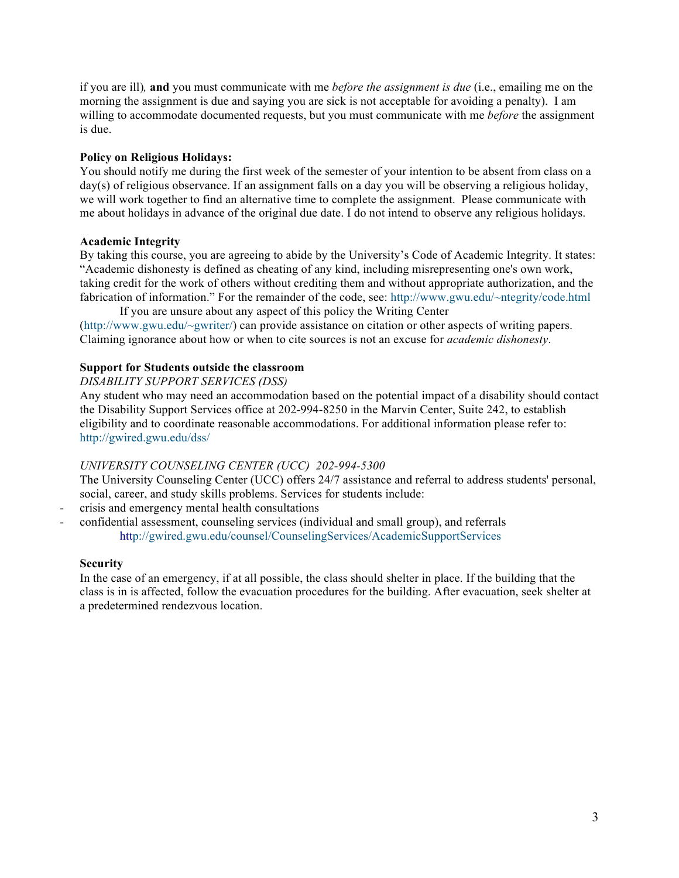if you are ill)*,* **and** you must communicate with me *before the assignment is due* (i.e., emailing me on the morning the assignment is due and saying you are sick is not acceptable for avoiding a penalty). I am willing to accommodate documented requests, but you must communicate with me *before* the assignment is due.

## **Policy on Religious Holidays:**

You should notify me during the first week of the semester of your intention to be absent from class on a day(s) of religious observance. If an assignment falls on a day you will be observing a religious holiday, we will work together to find an alternative time to complete the assignment. Please communicate with me about holidays in advance of the original due date. I do not intend to observe any religious holidays.

## **Academic Integrity**

By taking this course, you are agreeing to abide by the University's Code of Academic Integrity. It states: "Academic dishonesty is defined as cheating of any kind, including misrepresenting one's own work, taking credit for the work of others without crediting them and without appropriate authorization, and the fabrication of information." For the remainder of the code, see: http://www.gwu.edu/~ntegrity/code.html

If you are unsure about any aspect of this policy the Writing Center (http://www.gwu.edu/~gwriter/) can provide assistance on citation or other aspects of writing papers. Claiming ignorance about how or when to cite sources is not an excuse for *academic dishonesty*.

## **Support for Students outside the classroom**

*DISABILITY SUPPORT SERVICES (DSS)*

Any student who may need an accommodation based on the potential impact of a disability should contact the Disability Support Services office at 202-994-8250 in the Marvin Center, Suite 242, to establish eligibility and to coordinate reasonable accommodations. For additional information please refer to: http://gwired.gwu.edu/dss/

## *UNIVERSITY COUNSELING CENTER (UCC) 202-994-5300*

The University Counseling Center (UCC) offers 24/7 assistance and referral to address students' personal, social, career, and study skills problems. Services for students include:

- crisis and emergency mental health consultations

- confidential assessment, counseling services (individual and small group), and referrals http://gwired.gwu.edu/counsel/CounselingServices/AcademicSupportServices

## **Security**

In the case of an emergency, if at all possible, the class should shelter in place. If the building that the class is in is affected, follow the evacuation procedures for the building. After evacuation, seek shelter at a predetermined rendezvous location.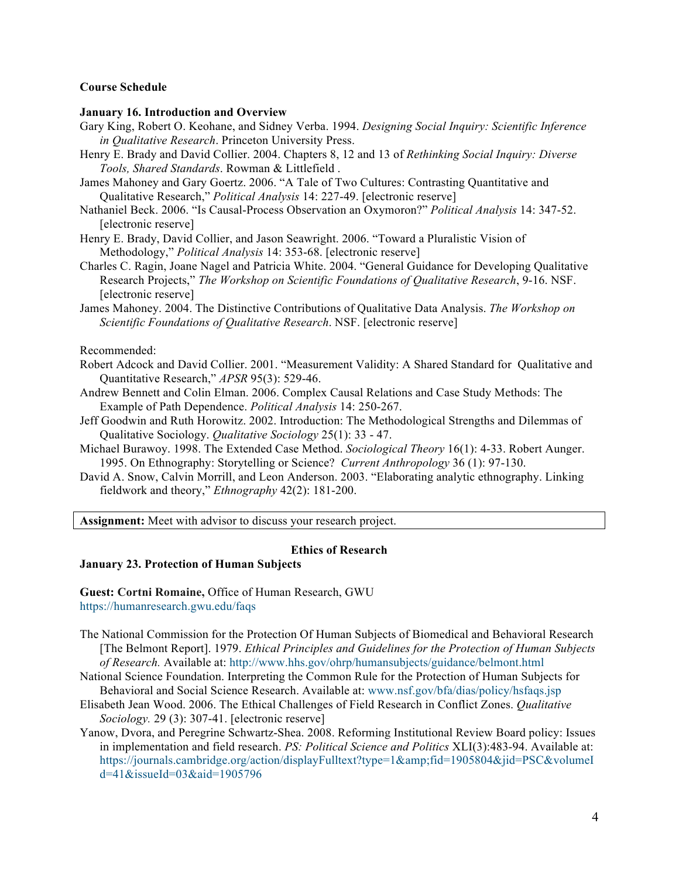#### **Course Schedule**

#### **January 16. Introduction and Overview**

- Gary King, Robert O. Keohane, and Sidney Verba. 1994. *Designing Social Inquiry: Scientific Inference in Qualitative Research*. Princeton University Press.
- Henry E. Brady and David Collier. 2004. Chapters 8, 12 and 13 of *Rethinking Social Inquiry: Diverse Tools, Shared Standards*. Rowman & Littlefield .
- James Mahoney and Gary Goertz. 2006. "A Tale of Two Cultures: Contrasting Quantitative and Qualitative Research," *Political Analysis* 14: 227-49. [electronic reserve]
- Nathaniel Beck. 2006. "Is Causal-Process Observation an Oxymoron?" *Political Analysis* 14: 347-52. [electronic reserve]
- Henry E. Brady, David Collier, and Jason Seawright. 2006. "Toward a Pluralistic Vision of Methodology," *Political Analysis* 14: 353-68. [electronic reserve]
- Charles C. Ragin, Joane Nagel and Patricia White. 2004. "General Guidance for Developing Qualitative Research Projects," *The Workshop on Scientific Foundations of Qualitative Research*, 9-16. NSF. [electronic reserve]
- James Mahoney. 2004. The Distinctive Contributions of Qualitative Data Analysis. *The Workshop on Scientific Foundations of Qualitative Research*. NSF. [electronic reserve]

#### Recommended:

- Robert Adcock and David Collier. 2001. "Measurement Validity: A Shared Standard for Qualitative and Quantitative Research," *APSR* 95(3): 529-46.
- Andrew Bennett and Colin Elman. 2006. Complex Causal Relations and Case Study Methods: The Example of Path Dependence. *Political Analysis* 14: 250-267.
- Jeff Goodwin and Ruth Horowitz. 2002. Introduction: The Methodological Strengths and Dilemmas of Qualitative Sociology. *Qualitative Sociology* 25(1): 33 - 47.
- Michael Burawoy. 1998. The Extended Case Method. *Sociological Theory* 16(1): 4-33. Robert Aunger. 1995. On Ethnography: Storytelling or Science? *Current Anthropology* 36 (1): 97-130.
- David A. Snow, Calvin Morrill, and Leon Anderson. 2003. "Elaborating analytic ethnography. Linking fieldwork and theory," *Ethnography* 42(2): 181-200.

**Assignment:** Meet with advisor to discuss your research project.

#### **Ethics of Research**

#### **January 23. Protection of Human Subjects**

**Guest: Cortni Romaine,** Office of Human Research, GWU https://humanresearch.gwu.edu/faqs

- The National Commission for the Protection Of Human Subjects of Biomedical and Behavioral Research [The Belmont Report]. 1979. *Ethical Principles and Guidelines for the Protection of Human Subjects of Research.* Available at: http://www.hhs.gov/ohrp/humansubjects/guidance/belmont.html
- National Science Foundation. Interpreting the Common Rule for the Protection of Human Subjects for Behavioral and Social Science Research. Available at: www.nsf.gov/bfa/dias/policy/hsfaqs.jsp
- Elisabeth Jean Wood. 2006. The Ethical Challenges of Field Research in Conflict Zones. *Qualitative Sociology.* 29 (3): 307-41. [electronic reserve]
- Yanow, Dvora, and Peregrine Schwartz-Shea. 2008. Reforming Institutional Review Board policy: Issues in implementation and field research. *PS: Political Science and Politics* XLI(3):483-94. Available at: https://journals.cambridge.org/action/displayFulltext?type=1&fid=1905804&jid=PSC&volumeI d=41&issueId=03&aid=1905796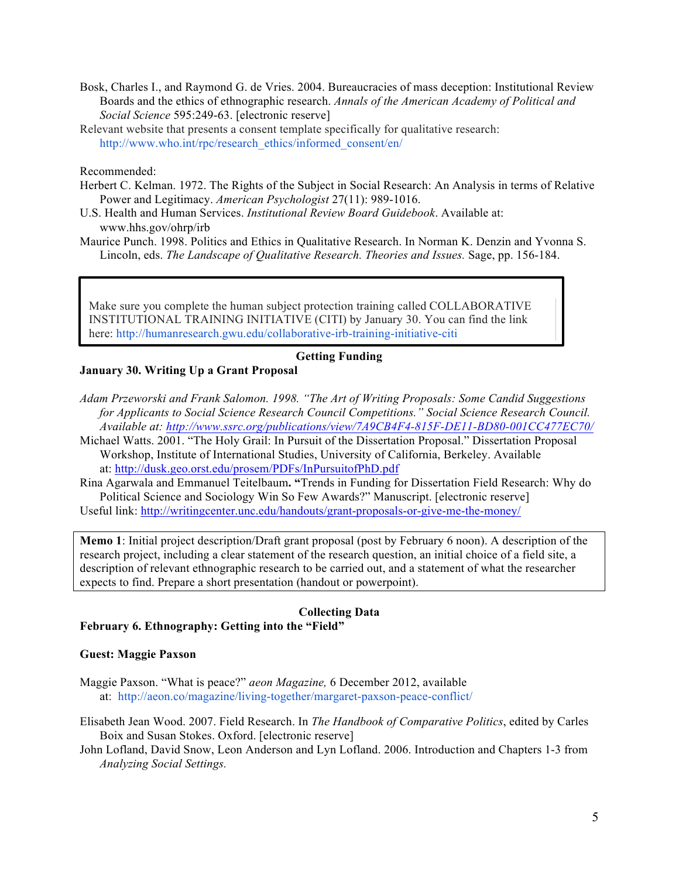- Bosk, Charles I., and Raymond G. de Vries. 2004. Bureaucracies of mass deception: Institutional Review Boards and the ethics of ethnographic research. *Annals of the American Academy of Political and Social Science* 595:249-63. [electronic reserve]
- Relevant website that presents a consent template specifically for qualitative research: http://www.who.int/rpc/research\_ethics/informed\_consent/en/

Recommended:

- Herbert C. Kelman. 1972. The Rights of the Subject in Social Research: An Analysis in terms of Relative Power and Legitimacy. *American Psychologist* 27(11): 989-1016.
- U.S. Health and Human Services. *Institutional Review Board Guidebook*. Available at: www.hhs.gov/ohrp/irb
- Maurice Punch. 1998. Politics and Ethics in Qualitative Research. In Norman K. Denzin and Yvonna S. Lincoln, eds. *The Landscape of Qualitative Research. Theories and Issues.* Sage, pp. 156-184.

Make sure you complete the human subject protection training called COLLABORATIVE INSTITUTIONAL TRAINING INITIATIVE (CITI) by January 30. You can find the link here: http://humanresearch.gwu.edu/collaborative-irb-training-initiative-citi

## **Getting Funding**

## **January 30. Writing Up a Grant Proposal**

- *Adam Przeworski and Frank Salomon. 1998. "The Art of Writing Proposals: Some Candid Suggestions for Applicants to Social Science Research Council Competitions." Social Science Research Council. Available at: http://www.ssrc.org/publications/view/7A9CB4F4-815F-DE11-BD80-001CC477EC70/*
- Michael Watts. 2001. "The Holy Grail: In Pursuit of the Dissertation Proposal." Dissertation Proposal Workshop, Institute of International Studies, University of California, Berkeley. Available at: http://dusk.geo.orst.edu/prosem/PDFs/InPursuitofPhD.pdf
- Rina Agarwala and Emmanuel Teitelbaum**. "**Trends in Funding for Dissertation Field Research: Why do Political Science and Sociology Win So Few Awards?" Manuscript. [electronic reserve] Useful link: http://writingcenter.unc.edu/handouts/grant-proposals-or-give-me-the-money/

**Memo 1**: Initial project description/Draft grant proposal (post by February 6 noon). A description of the research project, including a clear statement of the research question, an initial choice of a field site, a description of relevant ethnographic research to be carried out, and a statement of what the researcher expects to find. Prepare a short presentation (handout or powerpoint).

# **Collecting Data**

## **February 6. Ethnography: Getting into the "Field"**

#### **Guest: Maggie Paxson**

- Maggie Paxson. "What is peace?" *aeon Magazine,* 6 December 2012, available at: http://aeon.co/magazine/living-together/margaret-paxson-peace-conflict/
- Elisabeth Jean Wood. 2007. Field Research. In *The Handbook of Comparative Politics*, edited by Carles Boix and Susan Stokes. Oxford. [electronic reserve]
- John Lofland, David Snow, Leon Anderson and Lyn Lofland. 2006. Introduction and Chapters 1-3 from *Analyzing Social Settings.*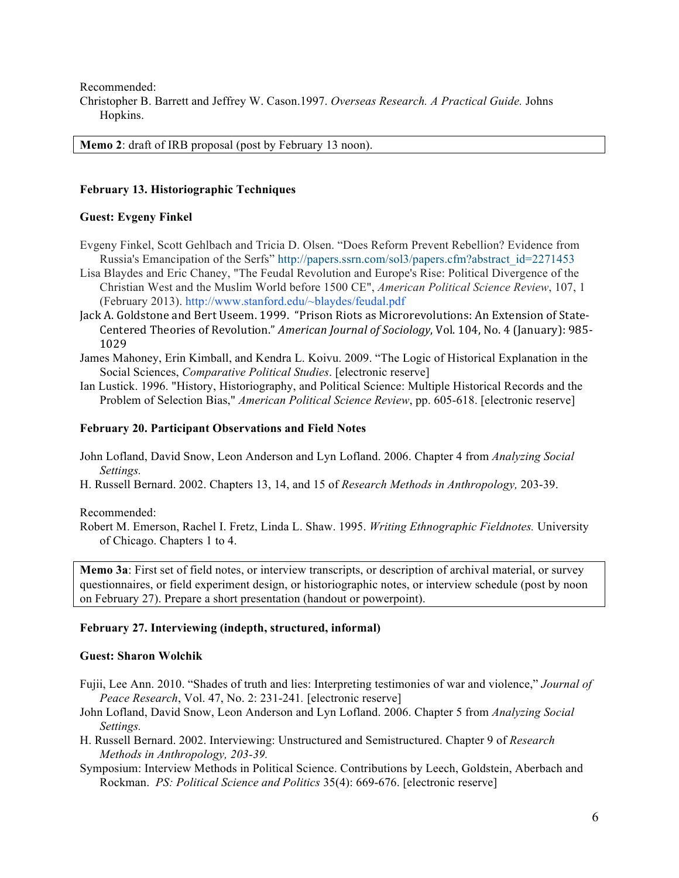Recommended: Christopher B. Barrett and Jeffrey W. Cason.1997. *Overseas Research. A Practical Guide.* Johns Hopkins.

**Memo 2**: draft of IRB proposal (post by February 13 noon).

#### **February 13. Historiographic Techniques**

#### **Guest: Evgeny Finkel**

- Evgeny Finkel, Scott Gehlbach and Tricia D. Olsen. "Does Reform Prevent Rebellion? Evidence from Russia's Emancipation of the Serfs" http://papers.ssrn.com/sol3/papers.cfm?abstract\_id=2271453
- Lisa Blaydes and Eric Chaney, "The Feudal Revolution and Europe's Rise: Political Divergence of the Christian West and the Muslim World before 1500 CE", *American Political Science Review*, 107, 1 (February 2013). http://www.stanford.edu/~blaydes/feudal.pdf
- Jack A. Goldstone and Bert Useem. 1999. "Prison Riots as Microrevolutions: An Extension of State-Centered Theories of Revolution." *American Journal of Sociology*, Vol. 104, No. 4 (January): 985-1029
- James Mahoney, Erin Kimball, and Kendra L. Koivu. 2009. "The Logic of Historical Explanation in the Social Sciences, *Comparative Political Studies*. [electronic reserve]
- Ian Lustick. 1996. "History, Historiography, and Political Science: Multiple Historical Records and the Problem of Selection Bias," *American Political Science Review*, pp. 605-618. [electronic reserve]

#### **February 20. Participant Observations and Field Notes**

- John Lofland, David Snow, Leon Anderson and Lyn Lofland. 2006. Chapter 4 from *Analyzing Social Settings.*
- H. Russell Bernard. 2002. Chapters 13, 14, and 15 of *Research Methods in Anthropology,* 203-39.

Recommended:

Robert M. Emerson, Rachel I. Fretz, Linda L. Shaw. 1995. *Writing Ethnographic Fieldnotes.* University of Chicago. Chapters 1 to 4.

**Memo 3a**: First set of field notes, or interview transcripts, or description of archival material, or survey questionnaires, or field experiment design, or historiographic notes, or interview schedule (post by noon on February 27). Prepare a short presentation (handout or powerpoint).

#### **February 27. Interviewing (indepth, structured, informal)**

#### **Guest: Sharon Wolchik**

- Fujii, Lee Ann. 2010. "Shades of truth and lies: Interpreting testimonies of war and violence," *Journal of Peace Research*, Vol. 47, No. 2: 231-241*.* [electronic reserve]
- John Lofland, David Snow, Leon Anderson and Lyn Lofland. 2006. Chapter 5 from *Analyzing Social Settings.*
- H. Russell Bernard. 2002. Interviewing: Unstructured and Semistructured. Chapter 9 of *Research Methods in Anthropology, 203-39.*
- Symposium: Interview Methods in Political Science. Contributions by Leech, Goldstein, Aberbach and Rockman. *PS: Political Science and Politics* 35(4): 669-676. [electronic reserve]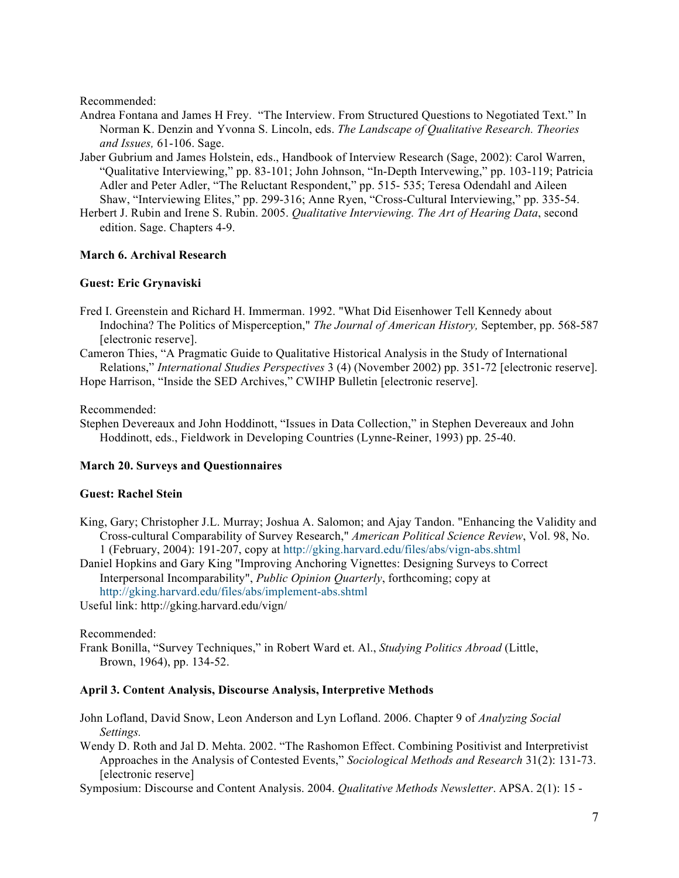Recommended:

- Andrea Fontana and James H Frey. "The Interview. From Structured Questions to Negotiated Text." In Norman K. Denzin and Yvonna S. Lincoln, eds. *The Landscape of Qualitative Research. Theories and Issues,* 61-106. Sage.
- Jaber Gubrium and James Holstein, eds., Handbook of Interview Research (Sage, 2002): Carol Warren, "Qualitative Interviewing," pp. 83-101; John Johnson, "In-Depth Intervewing," pp. 103-119; Patricia Adler and Peter Adler, "The Reluctant Respondent," pp. 515- 535; Teresa Odendahl and Aileen Shaw, "Interviewing Elites," pp. 299-316; Anne Ryen, "Cross-Cultural Interviewing," pp. 335-54.
- Herbert J. Rubin and Irene S. Rubin. 2005. *Qualitative Interviewing. The Art of Hearing Data*, second edition. Sage. Chapters 4-9.

## **March 6. Archival Research**

## **Guest: Eric Grynaviski**

- Fred I. Greenstein and Richard H. Immerman. 1992. "What Did Eisenhower Tell Kennedy about Indochina? The Politics of Misperception," *The Journal of American History,* September, pp. 568-587 [electronic reserve].
- Cameron Thies, "A Pragmatic Guide to Qualitative Historical Analysis in the Study of International Relations," *International Studies Perspectives* 3 (4) (November 2002) pp. 351-72 [electronic reserve]. Hope Harrison, "Inside the SED Archives," CWIHP Bulletin [electronic reserve].

Recommended:

Stephen Devereaux and John Hoddinott, "Issues in Data Collection," in Stephen Devereaux and John Hoddinott, eds., Fieldwork in Developing Countries (Lynne-Reiner, 1993) pp. 25-40.

## **March 20. Surveys and Questionnaires**

#### **Guest: Rachel Stein**

- King, Gary; Christopher J.L. Murray; Joshua A. Salomon; and Ajay Tandon. "Enhancing the Validity and Cross-cultural Comparability of Survey Research," *American Political Science Review*, Vol. 98, No. 1 (February, 2004): 191-207, copy at http://gking.harvard.edu/files/abs/vign-abs.shtml
- Daniel Hopkins and Gary King "Improving Anchoring Vignettes: Designing Surveys to Correct Interpersonal Incomparability", *Public Opinion Quarterly*, forthcoming; copy at http://gking.harvard.edu/files/abs/implement-abs.shtml

Useful link: http://gking.harvard.edu/vign/

Recommended:

Frank Bonilla, "Survey Techniques," in Robert Ward et. Al., *Studying Politics Abroad* (Little, Brown, 1964), pp. 134-52.

## **April 3. Content Analysis, Discourse Analysis, Interpretive Methods**

- John Lofland, David Snow, Leon Anderson and Lyn Lofland. 2006. Chapter 9 of *Analyzing Social Settings.*
- Wendy D. Roth and Jal D. Mehta. 2002. "The Rashomon Effect. Combining Positivist and Interpretivist Approaches in the Analysis of Contested Events," *Sociological Methods and Research* 31(2): 131-73. [electronic reserve]

Symposium: Discourse and Content Analysis. 2004. *Qualitative Methods Newsletter*. APSA. 2(1): 15 -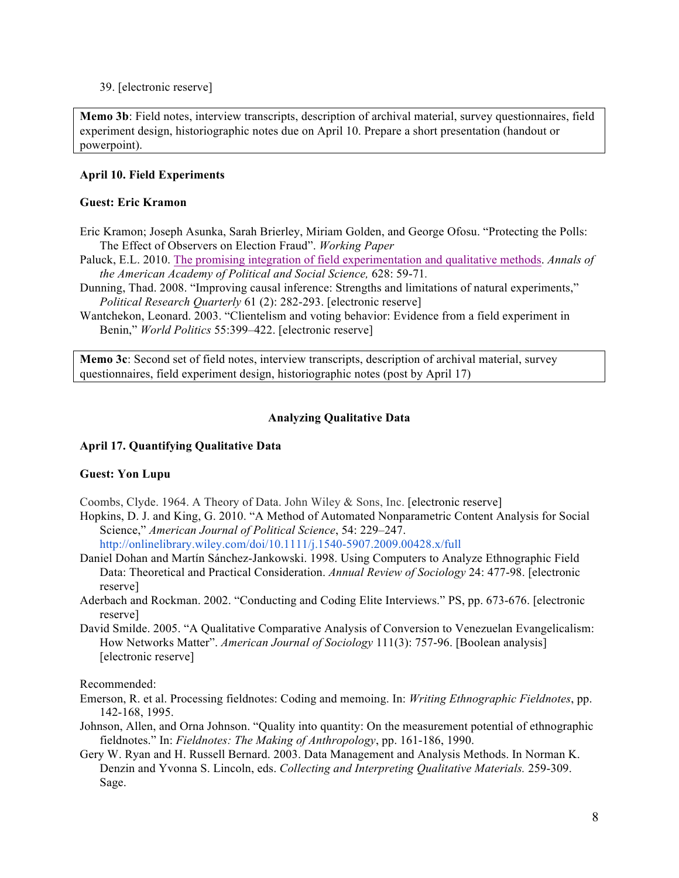39. [electronic reserve]

**Memo 3b**: Field notes, interview transcripts, description of archival material, survey questionnaires, field experiment design, historiographic notes due on April 10. Prepare a short presentation (handout or powerpoint).

## **April 10. Field Experiments**

## **Guest: Eric Kramon**

- Eric Kramon; Joseph Asunka, Sarah Brierley, Miriam Golden, and George Ofosu. "Protecting the Polls: The Effect of Observers on Election Fraud". *Working Paper*
- Paluck, E.L. 2010. The promising integration of field experimentation and qualitative methods. *Annals of the American Academy of Political and Social Science,* 628: 59-71*.*
- Dunning, Thad. 2008. "Improving causal inference: Strengths and limitations of natural experiments," *Political Research Quarterly* 61 (2): 282-293. [electronic reserve]
- Wantchekon, Leonard. 2003. "Clientelism and voting behavior: Evidence from a field experiment in Benin," *World Politics* 55:399–422. [electronic reserve]

**Memo 3c**: Second set of field notes, interview transcripts, description of archival material, survey questionnaires, field experiment design, historiographic notes (post by April 17)

## **Analyzing Qualitative Data**

## **April 17. Quantifying Qualitative Data**

## **Guest: Yon Lupu**

- Coombs, Clyde. 1964. A Theory of Data. John Wiley & Sons, Inc. [electronic reserve]
- Hopkins, D. J. and King, G. 2010. "A Method of Automated Nonparametric Content Analysis for Social Science," *American Journal of Political Science*, 54: 229–247.

http://onlinelibrary.wiley.com/doi/10.1111/j.1540-5907.2009.00428.x/full

- Daniel Dohan and Martín Sánchez-Jankowski. 1998. Using Computers to Analyze Ethnographic Field Data: Theoretical and Practical Consideration. *Annual Review of Sociology* 24: 477-98. [electronic reserve]
- Aderbach and Rockman. 2002. "Conducting and Coding Elite Interviews." PS, pp. 673-676. [electronic reserve]
- David Smilde. 2005. "A Qualitative Comparative Analysis of Conversion to Venezuelan Evangelicalism: How Networks Matter". *American Journal of Sociology* 111(3): 757-96. [Boolean analysis] [electronic reserve]

Recommended:

- Emerson, R. et al. Processing fieldnotes: Coding and memoing. In: *Writing Ethnographic Fieldnotes*, pp. 142-168, 1995.
- Johnson, Allen, and Orna Johnson. "Quality into quantity: On the measurement potential of ethnographic fieldnotes." In: *Fieldnotes: The Making of Anthropology*, pp. 161-186, 1990.
- Gery W. Ryan and H. Russell Bernard. 2003. Data Management and Analysis Methods. In Norman K. Denzin and Yvonna S. Lincoln, eds. *Collecting and Interpreting Qualitative Materials.* 259-309. Sage.